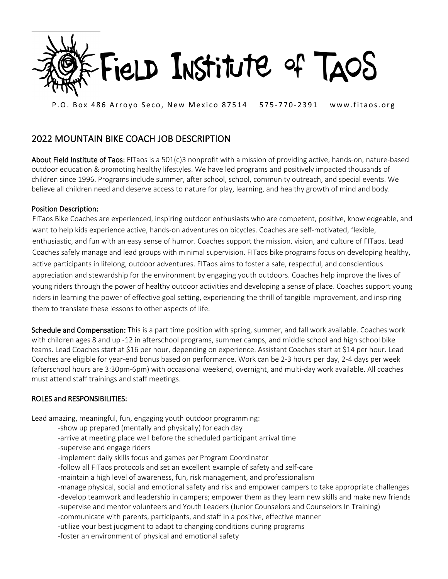

P.O. Box 486 Arroyo Seco, New Mexico 87514 575-770-2391 www.fitaos.org

## 2022 MOUNTAIN BIKE COACH JOB DESCRIPTION

About Field Institute of Taos: FITaos is a 501(c)3 nonprofit with a mission of providing active, hands-on, nature-based outdoor education & promoting healthy lifestyles. We have led programs and positively impacted thousands of children since 1996. Programs include summer, after school, school, community outreach, and special events. We believe all children need and deserve access to nature for play, learning, and healthy growth of mind and body.

## Position Description:

FITaos Bike Coaches are experienced, inspiring outdoor enthusiasts who are competent, positive, knowledgeable, and want to help kids experience active, hands-on adventures on bicycles. Coaches are self-motivated, flexible, enthusiastic, and fun with an easy sense of humor. Coaches support the mission, vision, and culture of FITaos. Lead Coaches safely manage and lead groups with minimal supervision. FITaos bike programs focus on developing healthy, active participants in lifelong, outdoor adventures. FITaos aims to foster a safe, respectful, and conscientious appreciation and stewardship for the environment by engaging youth outdoors. Coaches help improve the lives of young riders through the power of healthy outdoor activities and developing a sense of place. Coaches support young riders in learning the power of effective goal setting, experiencing the thrill of tangible improvement, and inspiring them to translate these lessons to other aspects of life.

Schedule and Compensation: This is a part time position with spring, summer, and fall work available. Coaches work with children ages 8 and up -12 in afterschool programs, summer camps, and middle school and high school bike teams. Lead Coaches start at \$16 per hour, depending on experience. Assistant Coaches start at \$14 per hour. Lead Coaches are eligible for year-end bonus based on performance. Work can be 2-3 hours per day, 2-4 days per week (afterschool hours are 3:30pm-6pm) with occasional weekend, overnight, and multi-day work available. All coaches must attend staff trainings and staff meetings.

## ROLES and RESPONSIBILITIES:

Lead amazing, meaningful, fun, engaging youth outdoor programming:

- -show up prepared (mentally and physically) for each day
- -arrive at meeting place well before the scheduled participant arrival time
- -supervise and engage riders
- -implement daily skills focus and games per Program Coordinator
- -follow all FITaos protocols and set an excellent example of safety and self-care
- -maintain a high level of awareness, fun, risk management, and professionalism
- -manage physical, social and emotional safety and risk and empower campers to take appropriate challenges -develop teamwork and leadership in campers; empower them as they learn new skills and make new friends
- -supervise and mentor volunteers and Youth Leaders (Junior Counselors and Counselors In Training)
- -communicate with parents, participants, and staff in a positive, effective manner
- -utilize your best judgment to adapt to changing conditions during programs
- -foster an environment of physical and emotional safety